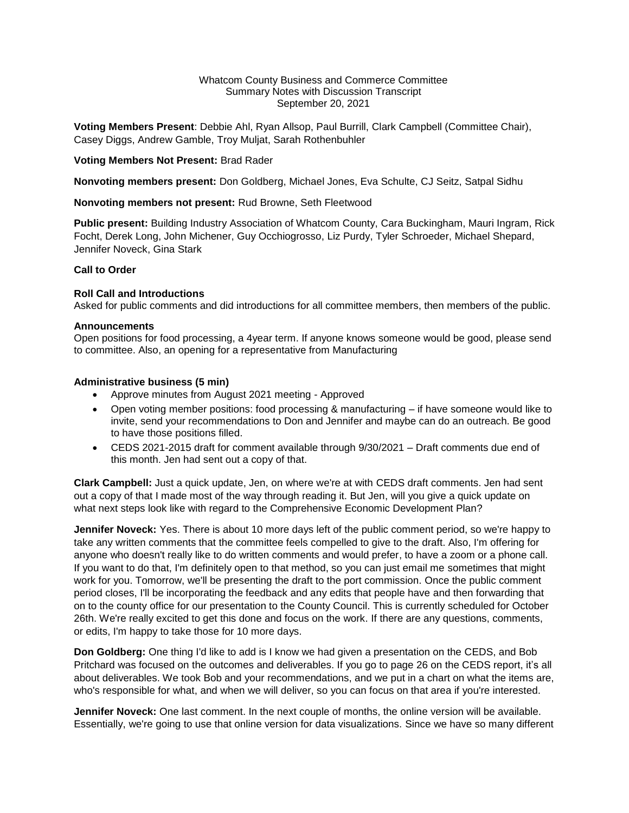### Whatcom County Business and Commerce Committee Summary Notes with Discussion Transcript September 20, 2021

**Voting Members Present**: Debbie Ahl, Ryan Allsop, Paul Burrill, Clark Campbell (Committee Chair), Casey Diggs, Andrew Gamble, Troy Muljat, Sarah Rothenbuhler

## **Voting Members Not Present:** Brad Rader

**Nonvoting members present:** Don Goldberg, Michael Jones, Eva Schulte, CJ Seitz, Satpal Sidhu

### **Nonvoting members not present:** Rud Browne, Seth Fleetwood

**Public present:** Building Industry Association of Whatcom County, Cara Buckingham, Mauri Ingram, Rick Focht, Derek Long, John Michener, Guy Occhiogrosso, Liz Purdy, Tyler Schroeder, Michael Shepard, Jennifer Noveck, Gina Stark

### **Call to Order**

## **Roll Call and Introductions**

Asked for public comments and did introductions for all committee members, then members of the public.

### **Announcements**

Open positions for food processing, a 4year term. If anyone knows someone would be good, please send to committee. Also, an opening for a representative from Manufacturing

## **Administrative business (5 min)**

- Approve minutes from August 2021 meeting Approved
- Open voting member positions: food processing & manufacturing if have someone would like to invite, send your recommendations to Don and Jennifer and maybe can do an outreach. Be good to have those positions filled.
- CEDS 2021-2015 draft for comment available through 9/30/2021 Draft comments due end of this month. Jen had sent out a copy of that.

**Clark Campbell:** Just a quick update, Jen, on where we're at with CEDS draft comments. Jen had sent out a copy of that I made most of the way through reading it. But Jen, will you give a quick update on what next steps look like with regard to the Comprehensive Economic Development Plan?

**Jennifer Noveck:** Yes. There is about 10 more days left of the public comment period, so we're happy to take any written comments that the committee feels compelled to give to the draft. Also, I'm offering for anyone who doesn't really like to do written comments and would prefer, to have a zoom or a phone call. If you want to do that, I'm definitely open to that method, so you can just email me sometimes that might work for you. Tomorrow, we'll be presenting the draft to the port commission. Once the public comment period closes, I'll be incorporating the feedback and any edits that people have and then forwarding that on to the county office for our presentation to the County Council. This is currently scheduled for October 26th. We're really excited to get this done and focus on the work. If there are any questions, comments, or edits, I'm happy to take those for 10 more days.

**Don Goldberg:** One thing I'd like to add is I know we had given a presentation on the CEDS, and Bob Pritchard was focused on the outcomes and deliverables. If you go to page 26 on the CEDS report, it's all about deliverables. We took Bob and your recommendations, and we put in a chart on what the items are, who's responsible for what, and when we will deliver, so you can focus on that area if you're interested.

**Jennifer Noveck:** One last comment. In the next couple of months, the online version will be available. Essentially, we're going to use that online version for data visualizations. Since we have so many different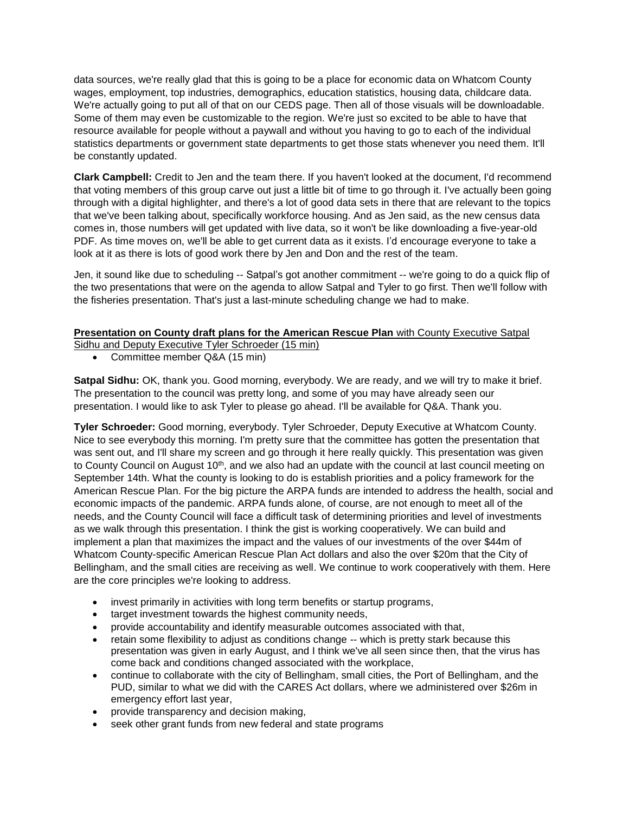data sources, we're really glad that this is going to be a place for economic data on Whatcom County wages, employment, top industries, demographics, education statistics, housing data, childcare data. We're actually going to put all of that on our CEDS page. Then all of those visuals will be downloadable. Some of them may even be customizable to the region. We're just so excited to be able to have that resource available for people without a paywall and without you having to go to each of the individual statistics departments or government state departments to get those stats whenever you need them. It'll be constantly updated.

**Clark Campbell:** Credit to Jen and the team there. If you haven't looked at the document, I'd recommend that voting members of this group carve out just a little bit of time to go through it. I've actually been going through with a digital highlighter, and there's a lot of good data sets in there that are relevant to the topics that we've been talking about, specifically workforce housing. And as Jen said, as the new census data comes in, those numbers will get updated with live data, so it won't be like downloading a five-year-old PDF. As time moves on, we'll be able to get current data as it exists. I'd encourage everyone to take a look at it as there is lots of good work there by Jen and Don and the rest of the team.

Jen, it sound like due to scheduling -- Satpal's got another commitment -- we're going to do a quick flip of the two presentations that were on the agenda to allow Satpal and Tyler to go first. Then we'll follow with the fisheries presentation. That's just a last-minute scheduling change we had to make.

# **Presentation on County draft plans for the American Rescue Plan** with County Executive Satpal

Sidhu and Deputy Executive Tyler Schroeder (15 min)

• Committee member Q&A (15 min)

**Satpal Sidhu:** OK, thank you. Good morning, everybody. We are ready, and we will try to make it brief. The presentation to the council was pretty long, and some of you may have already seen our presentation. I would like to ask Tyler to please go ahead. I'll be available for Q&A. Thank you.

**Tyler Schroeder:** Good morning, everybody. Tyler Schroeder, Deputy Executive at Whatcom County. Nice to see everybody this morning. I'm pretty sure that the committee has gotten the presentation that was sent out, and I'll share my screen and go through it here really quickly. This presentation was given to County Council on August  $10<sup>th</sup>$ , and we also had an update with the council at last council meeting on September 14th. What the county is looking to do is establish priorities and a policy framework for the American Rescue Plan. For the big picture the ARPA funds are intended to address the health, social and economic impacts of the pandemic. ARPA funds alone, of course, are not enough to meet all of the needs, and the County Council will face a difficult task of determining priorities and level of investments as we walk through this presentation. I think the gist is working cooperatively. We can build and implement a plan that maximizes the impact and the values of our investments of the over \$44m of Whatcom County-specific American Rescue Plan Act dollars and also the over \$20m that the City of Bellingham, and the small cities are receiving as well. We continue to work cooperatively with them. Here are the core principles we're looking to address.

- invest primarily in activities with long term benefits or startup programs,
- target investment towards the highest community needs,
- provide accountability and identify measurable outcomes associated with that,
- retain some flexibility to adjust as conditions change -- which is pretty stark because this presentation was given in early August, and I think we've all seen since then, that the virus has come back and conditions changed associated with the workplace,
- continue to collaborate with the city of Bellingham, small cities, the Port of Bellingham, and the PUD, similar to what we did with the CARES Act dollars, where we administered over \$26m in emergency effort last year,
- provide transparency and decision making,
- seek other grant funds from new federal and state programs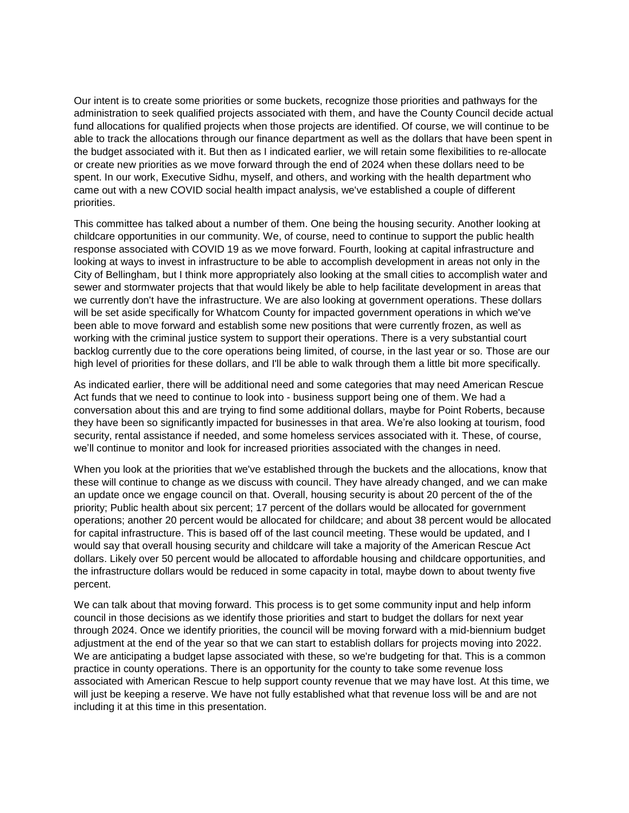Our intent is to create some priorities or some buckets, recognize those priorities and pathways for the administration to seek qualified projects associated with them, and have the County Council decide actual fund allocations for qualified projects when those projects are identified. Of course, we will continue to be able to track the allocations through our finance department as well as the dollars that have been spent in the budget associated with it. But then as I indicated earlier, we will retain some flexibilities to re-allocate or create new priorities as we move forward through the end of 2024 when these dollars need to be spent. In our work, Executive Sidhu, myself, and others, and working with the health department who came out with a new COVID social health impact analysis, we've established a couple of different priorities.

This committee has talked about a number of them. One being the housing security. Another looking at childcare opportunities in our community. We, of course, need to continue to support the public health response associated with COVID 19 as we move forward. Fourth, looking at capital infrastructure and looking at ways to invest in infrastructure to be able to accomplish development in areas not only in the City of Bellingham, but I think more appropriately also looking at the small cities to accomplish water and sewer and stormwater projects that that would likely be able to help facilitate development in areas that we currently don't have the infrastructure. We are also looking at government operations. These dollars will be set aside specifically for Whatcom County for impacted government operations in which we've been able to move forward and establish some new positions that were currently frozen, as well as working with the criminal justice system to support their operations. There is a very substantial court backlog currently due to the core operations being limited, of course, in the last year or so. Those are our high level of priorities for these dollars, and I'll be able to walk through them a little bit more specifically.

As indicated earlier, there will be additional need and some categories that may need American Rescue Act funds that we need to continue to look into - business support being one of them. We had a conversation about this and are trying to find some additional dollars, maybe for Point Roberts, because they have been so significantly impacted for businesses in that area. We're also looking at tourism, food security, rental assistance if needed, and some homeless services associated with it. These, of course, we'll continue to monitor and look for increased priorities associated with the changes in need.

When you look at the priorities that we've established through the buckets and the allocations, know that these will continue to change as we discuss with council. They have already changed, and we can make an update once we engage council on that. Overall, housing security is about 20 percent of the of the priority; Public health about six percent; 17 percent of the dollars would be allocated for government operations; another 20 percent would be allocated for childcare; and about 38 percent would be allocated for capital infrastructure. This is based off of the last council meeting. These would be updated, and I would say that overall housing security and childcare will take a majority of the American Rescue Act dollars. Likely over 50 percent would be allocated to affordable housing and childcare opportunities, and the infrastructure dollars would be reduced in some capacity in total, maybe down to about twenty five percent.

We can talk about that moving forward. This process is to get some community input and help inform council in those decisions as we identify those priorities and start to budget the dollars for next year through 2024. Once we identify priorities, the council will be moving forward with a mid-biennium budget adjustment at the end of the year so that we can start to establish dollars for projects moving into 2022. We are anticipating a budget lapse associated with these, so we're budgeting for that. This is a common practice in county operations. There is an opportunity for the county to take some revenue loss associated with American Rescue to help support county revenue that we may have lost. At this time, we will just be keeping a reserve. We have not fully established what that revenue loss will be and are not including it at this time in this presentation.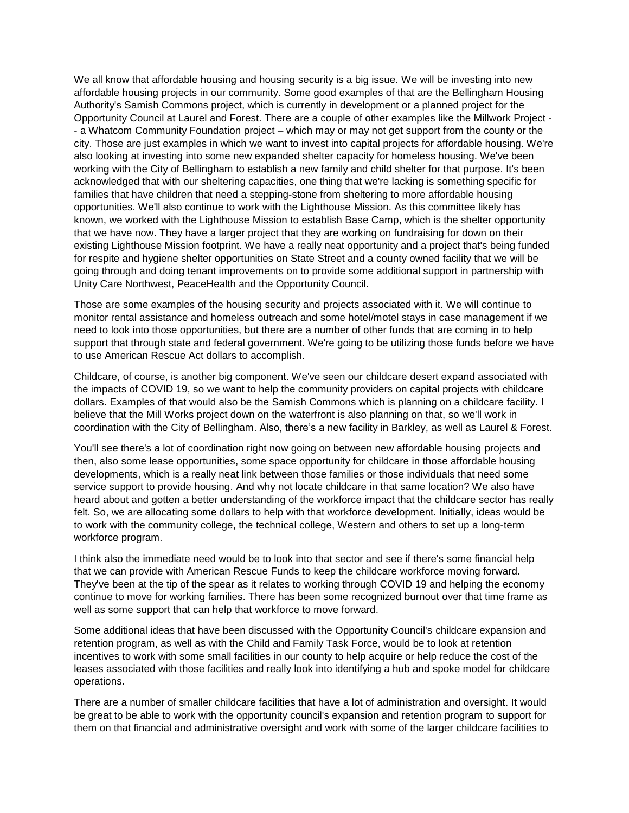We all know that affordable housing and housing security is a big issue. We will be investing into new affordable housing projects in our community. Some good examples of that are the Bellingham Housing Authority's Samish Commons project, which is currently in development or a planned project for the Opportunity Council at Laurel and Forest. There are a couple of other examples like the Millwork Project - - a Whatcom Community Foundation project – which may or may not get support from the county or the city. Those are just examples in which we want to invest into capital projects for affordable housing. We're also looking at investing into some new expanded shelter capacity for homeless housing. We've been working with the City of Bellingham to establish a new family and child shelter for that purpose. It's been acknowledged that with our sheltering capacities, one thing that we're lacking is something specific for families that have children that need a stepping-stone from sheltering to more affordable housing opportunities. We'll also continue to work with the Lighthouse Mission. As this committee likely has known, we worked with the Lighthouse Mission to establish Base Camp, which is the shelter opportunity that we have now. They have a larger project that they are working on fundraising for down on their existing Lighthouse Mission footprint. We have a really neat opportunity and a project that's being funded for respite and hygiene shelter opportunities on State Street and a county owned facility that we will be going through and doing tenant improvements on to provide some additional support in partnership with Unity Care Northwest, PeaceHealth and the Opportunity Council.

Those are some examples of the housing security and projects associated with it. We will continue to monitor rental assistance and homeless outreach and some hotel/motel stays in case management if we need to look into those opportunities, but there are a number of other funds that are coming in to help support that through state and federal government. We're going to be utilizing those funds before we have to use American Rescue Act dollars to accomplish.

Childcare, of course, is another big component. We've seen our childcare desert expand associated with the impacts of COVID 19, so we want to help the community providers on capital projects with childcare dollars. Examples of that would also be the Samish Commons which is planning on a childcare facility. I believe that the Mill Works project down on the waterfront is also planning on that, so we'll work in coordination with the City of Bellingham. Also, there's a new facility in Barkley, as well as Laurel & Forest.

You'll see there's a lot of coordination right now going on between new affordable housing projects and then, also some lease opportunities, some space opportunity for childcare in those affordable housing developments, which is a really neat link between those families or those individuals that need some service support to provide housing. And why not locate childcare in that same location? We also have heard about and gotten a better understanding of the workforce impact that the childcare sector has really felt. So, we are allocating some dollars to help with that workforce development. Initially, ideas would be to work with the community college, the technical college, Western and others to set up a long-term workforce program.

I think also the immediate need would be to look into that sector and see if there's some financial help that we can provide with American Rescue Funds to keep the childcare workforce moving forward. They've been at the tip of the spear as it relates to working through COVID 19 and helping the economy continue to move for working families. There has been some recognized burnout over that time frame as well as some support that can help that workforce to move forward.

Some additional ideas that have been discussed with the Opportunity Council's childcare expansion and retention program, as well as with the Child and Family Task Force, would be to look at retention incentives to work with some small facilities in our county to help acquire or help reduce the cost of the leases associated with those facilities and really look into identifying a hub and spoke model for childcare operations.

There are a number of smaller childcare facilities that have a lot of administration and oversight. It would be great to be able to work with the opportunity council's expansion and retention program to support for them on that financial and administrative oversight and work with some of the larger childcare facilities to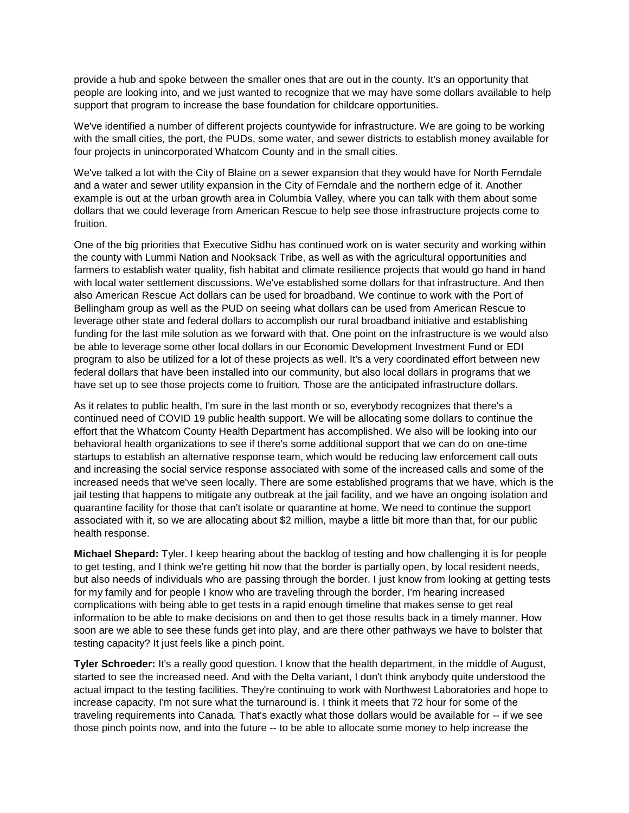provide a hub and spoke between the smaller ones that are out in the county. It's an opportunity that people are looking into, and we just wanted to recognize that we may have some dollars available to help support that program to increase the base foundation for childcare opportunities.

We've identified a number of different projects countywide for infrastructure. We are going to be working with the small cities, the port, the PUDs, some water, and sewer districts to establish money available for four projects in unincorporated Whatcom County and in the small cities.

We've talked a lot with the City of Blaine on a sewer expansion that they would have for North Ferndale and a water and sewer utility expansion in the City of Ferndale and the northern edge of it. Another example is out at the urban growth area in Columbia Valley, where you can talk with them about some dollars that we could leverage from American Rescue to help see those infrastructure projects come to fruition.

One of the big priorities that Executive Sidhu has continued work on is water security and working within the county with Lummi Nation and Nooksack Tribe, as well as with the agricultural opportunities and farmers to establish water quality, fish habitat and climate resilience projects that would go hand in hand with local water settlement discussions. We've established some dollars for that infrastructure. And then also American Rescue Act dollars can be used for broadband. We continue to work with the Port of Bellingham group as well as the PUD on seeing what dollars can be used from American Rescue to leverage other state and federal dollars to accomplish our rural broadband initiative and establishing funding for the last mile solution as we forward with that. One point on the infrastructure is we would also be able to leverage some other local dollars in our Economic Development Investment Fund or EDI program to also be utilized for a lot of these projects as well. It's a very coordinated effort between new federal dollars that have been installed into our community, but also local dollars in programs that we have set up to see those projects come to fruition. Those are the anticipated infrastructure dollars.

As it relates to public health, I'm sure in the last month or so, everybody recognizes that there's a continued need of COVID 19 public health support. We will be allocating some dollars to continue the effort that the Whatcom County Health Department has accomplished. We also will be looking into our behavioral health organizations to see if there's some additional support that we can do on one-time startups to establish an alternative response team, which would be reducing law enforcement call outs and increasing the social service response associated with some of the increased calls and some of the increased needs that we've seen locally. There are some established programs that we have, which is the jail testing that happens to mitigate any outbreak at the jail facility, and we have an ongoing isolation and quarantine facility for those that can't isolate or quarantine at home. We need to continue the support associated with it, so we are allocating about \$2 million, maybe a little bit more than that, for our public health response.

**Michael Shepard:** Tyler. I keep hearing about the backlog of testing and how challenging it is for people to get testing, and I think we're getting hit now that the border is partially open, by local resident needs, but also needs of individuals who are passing through the border. I just know from looking at getting tests for my family and for people I know who are traveling through the border, I'm hearing increased complications with being able to get tests in a rapid enough timeline that makes sense to get real information to be able to make decisions on and then to get those results back in a timely manner. How soon are we able to see these funds get into play, and are there other pathways we have to bolster that testing capacity? It just feels like a pinch point.

**Tyler Schroeder:** It's a really good question. I know that the health department, in the middle of August, started to see the increased need. And with the Delta variant, I don't think anybody quite understood the actual impact to the testing facilities. They're continuing to work with Northwest Laboratories and hope to increase capacity. I'm not sure what the turnaround is. I think it meets that 72 hour for some of the traveling requirements into Canada. That's exactly what those dollars would be available for -- if we see those pinch points now, and into the future -- to be able to allocate some money to help increase the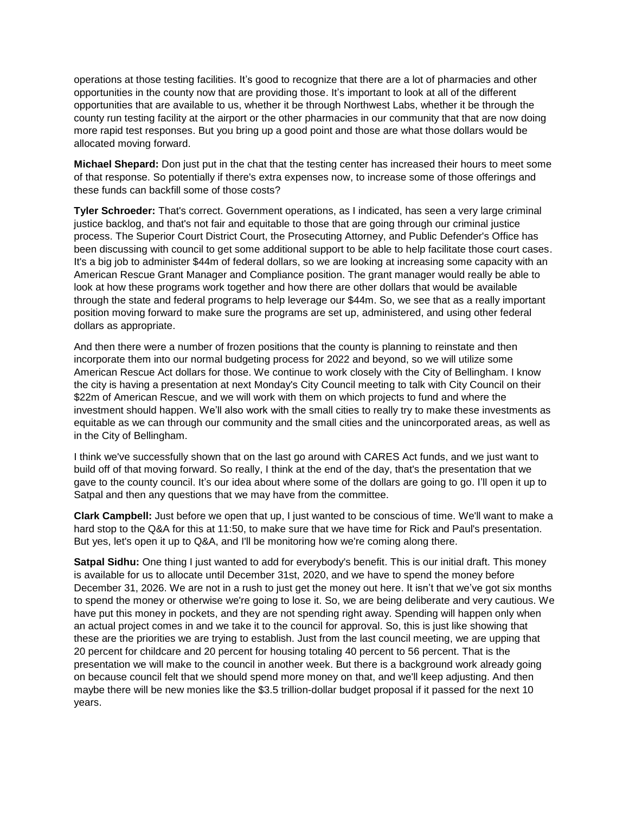operations at those testing facilities. It's good to recognize that there are a lot of pharmacies and other opportunities in the county now that are providing those. It's important to look at all of the different opportunities that are available to us, whether it be through Northwest Labs, whether it be through the county run testing facility at the airport or the other pharmacies in our community that that are now doing more rapid test responses. But you bring up a good point and those are what those dollars would be allocated moving forward.

**Michael Shepard:** Don just put in the chat that the testing center has increased their hours to meet some of that response. So potentially if there's extra expenses now, to increase some of those offerings and these funds can backfill some of those costs?

**Tyler Schroeder:** That's correct. Government operations, as I indicated, has seen a very large criminal justice backlog, and that's not fair and equitable to those that are going through our criminal justice process. The Superior Court District Court, the Prosecuting Attorney, and Public Defender's Office has been discussing with council to get some additional support to be able to help facilitate those court cases. It's a big job to administer \$44m of federal dollars, so we are looking at increasing some capacity with an American Rescue Grant Manager and Compliance position. The grant manager would really be able to look at how these programs work together and how there are other dollars that would be available through the state and federal programs to help leverage our \$44m. So, we see that as a really important position moving forward to make sure the programs are set up, administered, and using other federal dollars as appropriate.

And then there were a number of frozen positions that the county is planning to reinstate and then incorporate them into our normal budgeting process for 2022 and beyond, so we will utilize some American Rescue Act dollars for those. We continue to work closely with the City of Bellingham. I know the city is having a presentation at next Monday's City Council meeting to talk with City Council on their \$22m of American Rescue, and we will work with them on which projects to fund and where the investment should happen. We'll also work with the small cities to really try to make these investments as equitable as we can through our community and the small cities and the unincorporated areas, as well as in the City of Bellingham.

I think we've successfully shown that on the last go around with CARES Act funds, and we just want to build off of that moving forward. So really, I think at the end of the day, that's the presentation that we gave to the county council. It's our idea about where some of the dollars are going to go. I'll open it up to Satpal and then any questions that we may have from the committee.

**Clark Campbell:** Just before we open that up, I just wanted to be conscious of time. We'll want to make a hard stop to the Q&A for this at 11:50, to make sure that we have time for Rick and Paul's presentation. But yes, let's open it up to Q&A, and I'll be monitoring how we're coming along there.

**Satpal Sidhu:** One thing I just wanted to add for everybody's benefit. This is our initial draft. This money is available for us to allocate until December 31st, 2020, and we have to spend the money before December 31, 2026. We are not in a rush to just get the money out here. It isn't that we've got six months to spend the money or otherwise we're going to lose it. So, we are being deliberate and very cautious. We have put this money in pockets, and they are not spending right away. Spending will happen only when an actual project comes in and we take it to the council for approval. So, this is just like showing that these are the priorities we are trying to establish. Just from the last council meeting, we are upping that 20 percent for childcare and 20 percent for housing totaling 40 percent to 56 percent. That is the presentation we will make to the council in another week. But there is a background work already going on because council felt that we should spend more money on that, and we'll keep adjusting. And then maybe there will be new monies like the \$3.5 trillion-dollar budget proposal if it passed for the next 10 years.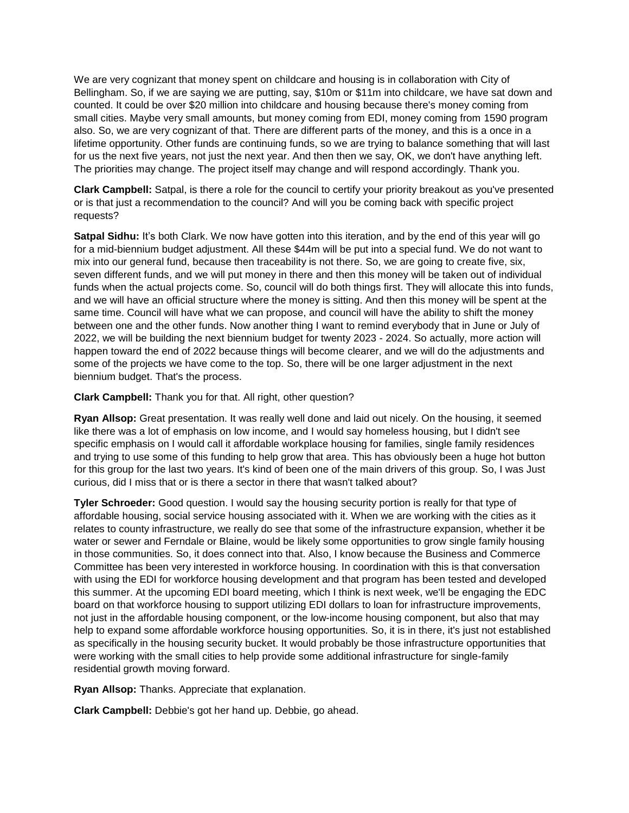We are very cognizant that money spent on childcare and housing is in collaboration with City of Bellingham. So, if we are saying we are putting, say, \$10m or \$11m into childcare, we have sat down and counted. It could be over \$20 million into childcare and housing because there's money coming from small cities. Maybe very small amounts, but money coming from EDI, money coming from 1590 program also. So, we are very cognizant of that. There are different parts of the money, and this is a once in a lifetime opportunity. Other funds are continuing funds, so we are trying to balance something that will last for us the next five years, not just the next year. And then then we say, OK, we don't have anything left. The priorities may change. The project itself may change and will respond accordingly. Thank you.

**Clark Campbell:** Satpal, is there a role for the council to certify your priority breakout as you've presented or is that just a recommendation to the council? And will you be coming back with specific project requests?

Satpal Sidhu: It's both Clark. We now have gotten into this iteration, and by the end of this year will go for a mid-biennium budget adjustment. All these \$44m will be put into a special fund. We do not want to mix into our general fund, because then traceability is not there. So, we are going to create five, six, seven different funds, and we will put money in there and then this money will be taken out of individual funds when the actual projects come. So, council will do both things first. They will allocate this into funds, and we will have an official structure where the money is sitting. And then this money will be spent at the same time. Council will have what we can propose, and council will have the ability to shift the money between one and the other funds. Now another thing I want to remind everybody that in June or July of 2022, we will be building the next biennium budget for twenty 2023 - 2024. So actually, more action will happen toward the end of 2022 because things will become clearer, and we will do the adjustments and some of the projects we have come to the top. So, there will be one larger adjustment in the next biennium budget. That's the process.

**Clark Campbell:** Thank you for that. All right, other question?

**Ryan Allsop:** Great presentation. It was really well done and laid out nicely. On the housing, it seemed like there was a lot of emphasis on low income, and I would say homeless housing, but I didn't see specific emphasis on I would call it affordable workplace housing for families, single family residences and trying to use some of this funding to help grow that area. This has obviously been a huge hot button for this group for the last two years. It's kind of been one of the main drivers of this group. So, I was Just curious, did I miss that or is there a sector in there that wasn't talked about?

**Tyler Schroeder:** Good question. I would say the housing security portion is really for that type of affordable housing, social service housing associated with it. When we are working with the cities as it relates to county infrastructure, we really do see that some of the infrastructure expansion, whether it be water or sewer and Ferndale or Blaine, would be likely some opportunities to grow single family housing in those communities. So, it does connect into that. Also, I know because the Business and Commerce Committee has been very interested in workforce housing. In coordination with this is that conversation with using the EDI for workforce housing development and that program has been tested and developed this summer. At the upcoming EDI board meeting, which I think is next week, we'll be engaging the EDC board on that workforce housing to support utilizing EDI dollars to loan for infrastructure improvements, not just in the affordable housing component, or the low-income housing component, but also that may help to expand some affordable workforce housing opportunities. So, it is in there, it's just not established as specifically in the housing security bucket. It would probably be those infrastructure opportunities that were working with the small cities to help provide some additional infrastructure for single-family residential growth moving forward.

**Ryan Allsop:** Thanks. Appreciate that explanation.

**Clark Campbell:** Debbie's got her hand up. Debbie, go ahead.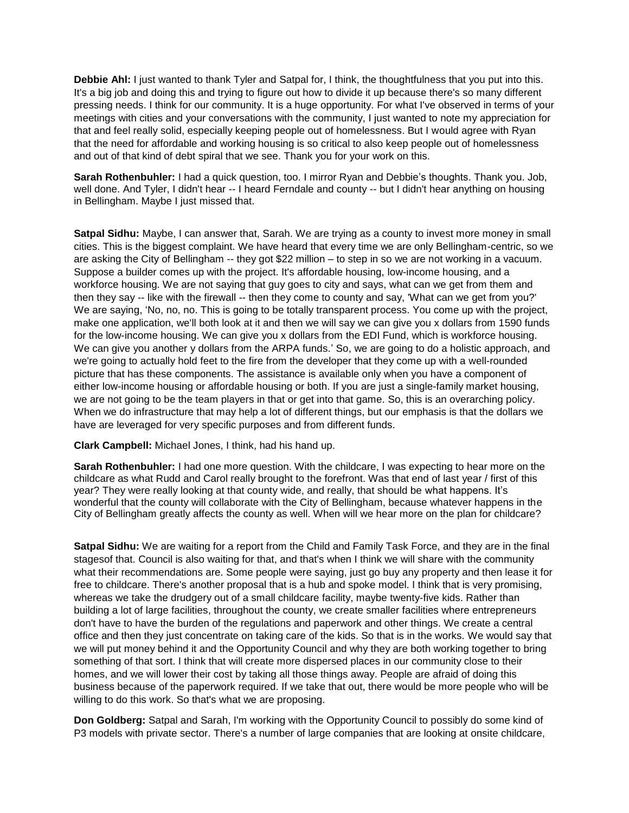**Debbie Ahl:** I just wanted to thank Tyler and Satpal for, I think, the thoughtfulness that you put into this. It's a big job and doing this and trying to figure out how to divide it up because there's so many different pressing needs. I think for our community. It is a huge opportunity. For what I've observed in terms of your meetings with cities and your conversations with the community, I just wanted to note my appreciation for that and feel really solid, especially keeping people out of homelessness. But I would agree with Ryan that the need for affordable and working housing is so critical to also keep people out of homelessness and out of that kind of debt spiral that we see. Thank you for your work on this.

**Sarah Rothenbuhler:** I had a quick question, too. I mirror Ryan and Debbie's thoughts. Thank you. Job, well done. And Tyler, I didn't hear -- I heard Ferndale and county -- but I didn't hear anything on housing in Bellingham. Maybe I just missed that.

**Satpal Sidhu:** Maybe, I can answer that, Sarah. We are trying as a county to invest more money in small cities. This is the biggest complaint. We have heard that every time we are only Bellingham-centric, so we are asking the City of Bellingham -- they got \$22 million – to step in so we are not working in a vacuum. Suppose a builder comes up with the project. It's affordable housing, low-income housing, and a workforce housing. We are not saying that guy goes to city and says, what can we get from them and then they say -- like with the firewall -- then they come to county and say, 'What can we get from you?' We are saying, 'No, no, no. This is going to be totally transparent process. You come up with the project, make one application, we'll both look at it and then we will say we can give you x dollars from 1590 funds for the low-income housing. We can give you x dollars from the EDI Fund, which is workforce housing. We can give you another y dollars from the ARPA funds.' So, we are going to do a holistic approach, and we're going to actually hold feet to the fire from the developer that they come up with a well-rounded picture that has these components. The assistance is available only when you have a component of either low-income housing or affordable housing or both. If you are just a single-family market housing, we are not going to be the team players in that or get into that game. So, this is an overarching policy. When we do infrastructure that may help a lot of different things, but our emphasis is that the dollars we have are leveraged for very specific purposes and from different funds.

## **Clark Campbell:** Michael Jones, I think, had his hand up.

**Sarah Rothenbuhler:** I had one more question. With the childcare, I was expecting to hear more on the childcare as what Rudd and Carol really brought to the forefront. Was that end of last year / first of this year? They were really looking at that county wide, and really, that should be what happens. It's wonderful that the county will collaborate with the City of Bellingham, because whatever happens in the City of Bellingham greatly affects the county as well. When will we hear more on the plan for childcare?

**Satpal Sidhu:** We are waiting for a report from the Child and Family Task Force, and they are in the final stagesof that. Council is also waiting for that, and that's when I think we will share with the community what their recommendations are. Some people were saying, just go buy any property and then lease it for free to childcare. There's another proposal that is a hub and spoke model. I think that is very promising, whereas we take the drudgery out of a small childcare facility, maybe twenty-five kids. Rather than building a lot of large facilities, throughout the county, we create smaller facilities where entrepreneurs don't have to have the burden of the regulations and paperwork and other things. We create a central office and then they just concentrate on taking care of the kids. So that is in the works. We would say that we will put money behind it and the Opportunity Council and why they are both working together to bring something of that sort. I think that will create more dispersed places in our community close to their homes, and we will lower their cost by taking all those things away. People are afraid of doing this business because of the paperwork required. If we take that out, there would be more people who will be willing to do this work. So that's what we are proposing.

**Don Goldberg:** Satpal and Sarah, I'm working with the Opportunity Council to possibly do some kind of P3 models with private sector. There's a number of large companies that are looking at onsite childcare,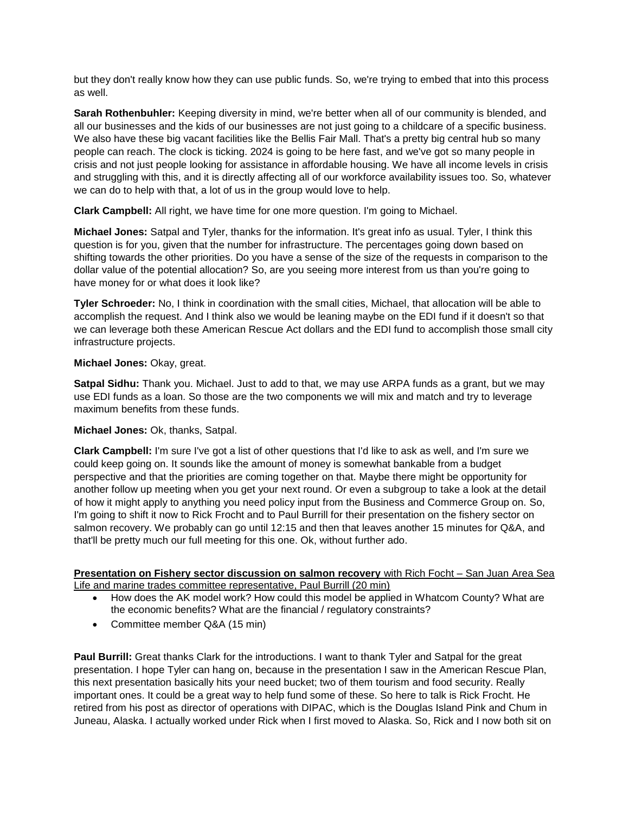but they don't really know how they can use public funds. So, we're trying to embed that into this process as well.

**Sarah Rothenbuhler:** Keeping diversity in mind, we're better when all of our community is blended, and all our businesses and the kids of our businesses are not just going to a childcare of a specific business. We also have these big vacant facilities like the Bellis Fair Mall. That's a pretty big central hub so many people can reach. The clock is ticking. 2024 is going to be here fast, and we've got so many people in crisis and not just people looking for assistance in affordable housing. We have all income levels in crisis and struggling with this, and it is directly affecting all of our workforce availability issues too. So, whatever we can do to help with that, a lot of us in the group would love to help.

**Clark Campbell:** All right, we have time for one more question. I'm going to Michael.

**Michael Jones:** Satpal and Tyler, thanks for the information. It's great info as usual. Tyler, I think this question is for you, given that the number for infrastructure. The percentages going down based on shifting towards the other priorities. Do you have a sense of the size of the requests in comparison to the dollar value of the potential allocation? So, are you seeing more interest from us than you're going to have money for or what does it look like?

**Tyler Schroeder:** No, I think in coordination with the small cities, Michael, that allocation will be able to accomplish the request. And I think also we would be leaning maybe on the EDI fund if it doesn't so that we can leverage both these American Rescue Act dollars and the EDI fund to accomplish those small city infrastructure projects.

# **Michael Jones:** Okay, great.

**Satpal Sidhu:** Thank you. Michael. Just to add to that, we may use ARPA funds as a grant, but we may use EDI funds as a loan. So those are the two components we will mix and match and try to leverage maximum benefits from these funds.

## **Michael Jones:** Ok, thanks, Satpal.

**Clark Campbell:** I'm sure I've got a list of other questions that I'd like to ask as well, and I'm sure we could keep going on. It sounds like the amount of money is somewhat bankable from a budget perspective and that the priorities are coming together on that. Maybe there might be opportunity for another follow up meeting when you get your next round. Or even a subgroup to take a look at the detail of how it might apply to anything you need policy input from the Business and Commerce Group on. So, I'm going to shift it now to Rick Frocht and to Paul Burrill for their presentation on the fishery sector on salmon recovery. We probably can go until 12:15 and then that leaves another 15 minutes for Q&A, and that'll be pretty much our full meeting for this one. Ok, without further ado.

# **Presentation on Fishery sector discussion on salmon recovery** with Rich Focht – San Juan Area Sea Life and marine trades committee representative, Paul Burrill (20 min)

- How does the AK model work? How could this model be applied in Whatcom County? What are the economic benefits? What are the financial / regulatory constraints?
- Committee member Q&A (15 min)

**Paul Burrill:** Great thanks Clark for the introductions. I want to thank Tyler and Satpal for the great presentation. I hope Tyler can hang on, because in the presentation I saw in the American Rescue Plan, this next presentation basically hits your need bucket; two of them tourism and food security. Really important ones. It could be a great way to help fund some of these. So here to talk is Rick Frocht. He retired from his post as director of operations with DIPAC, which is the Douglas Island Pink and Chum in Juneau, Alaska. I actually worked under Rick when I first moved to Alaska. So, Rick and I now both sit on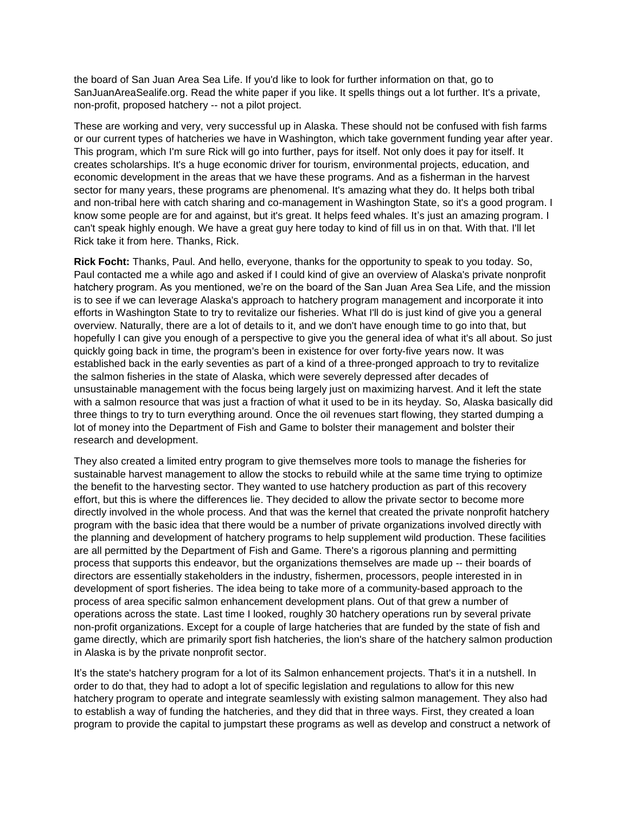the board of San Juan Area Sea Life. If you'd like to look for further information on that, go to SanJuanAreaSealife.org. Read the white paper if you like. It spells things out a lot further. It's a private, non-profit, proposed hatchery -- not a pilot project.

These are working and very, very successful up in Alaska. These should not be confused with fish farms or our current types of hatcheries we have in Washington, which take government funding year after year. This program, which I'm sure Rick will go into further, pays for itself. Not only does it pay for itself. It creates scholarships. It's a huge economic driver for tourism, environmental projects, education, and economic development in the areas that we have these programs. And as a fisherman in the harvest sector for many years, these programs are phenomenal. It's amazing what they do. It helps both tribal and non-tribal here with catch sharing and co-management in Washington State, so it's a good program. I know some people are for and against, but it's great. It helps feed whales. It's just an amazing program. I can't speak highly enough. We have a great guy here today to kind of fill us in on that. With that. I'll let Rick take it from here. Thanks, Rick.

**Rick Focht:** Thanks, Paul. And hello, everyone, thanks for the opportunity to speak to you today. So, Paul contacted me a while ago and asked if I could kind of give an overview of Alaska's private nonprofit hatchery program. As you mentioned, we're on the board of the San Juan Area Sea Life, and the mission is to see if we can leverage Alaska's approach to hatchery program management and incorporate it into efforts in Washington State to try to revitalize our fisheries. What I'll do is just kind of give you a general overview. Naturally, there are a lot of details to it, and we don't have enough time to go into that, but hopefully I can give you enough of a perspective to give you the general idea of what it's all about. So just quickly going back in time, the program's been in existence for over forty-five years now. It was established back in the early seventies as part of a kind of a three-pronged approach to try to revitalize the salmon fisheries in the state of Alaska, which were severely depressed after decades of unsustainable management with the focus being largely just on maximizing harvest. And it left the state with a salmon resource that was just a fraction of what it used to be in its heyday. So, Alaska basically did three things to try to turn everything around. Once the oil revenues start flowing, they started dumping a lot of money into the Department of Fish and Game to bolster their management and bolster their research and development.

They also created a limited entry program to give themselves more tools to manage the fisheries for sustainable harvest management to allow the stocks to rebuild while at the same time trying to optimize the benefit to the harvesting sector. They wanted to use hatchery production as part of this recovery effort, but this is where the differences lie. They decided to allow the private sector to become more directly involved in the whole process. And that was the kernel that created the private nonprofit hatchery program with the basic idea that there would be a number of private organizations involved directly with the planning and development of hatchery programs to help supplement wild production. These facilities are all permitted by the Department of Fish and Game. There's a rigorous planning and permitting process that supports this endeavor, but the organizations themselves are made up -- their boards of directors are essentially stakeholders in the industry, fishermen, processors, people interested in in development of sport fisheries. The idea being to take more of a community-based approach to the process of area specific salmon enhancement development plans. Out of that grew a number of operations across the state. Last time I looked, roughly 30 hatchery operations run by several private non-profit organizations. Except for a couple of large hatcheries that are funded by the state of fish and game directly, which are primarily sport fish hatcheries, the lion's share of the hatchery salmon production in Alaska is by the private nonprofit sector.

It's the state's hatchery program for a lot of its Salmon enhancement projects. That's it in a nutshell. In order to do that, they had to adopt a lot of specific legislation and regulations to allow for this new hatchery program to operate and integrate seamlessly with existing salmon management. They also had to establish a way of funding the hatcheries, and they did that in three ways. First, they created a loan program to provide the capital to jumpstart these programs as well as develop and construct a network of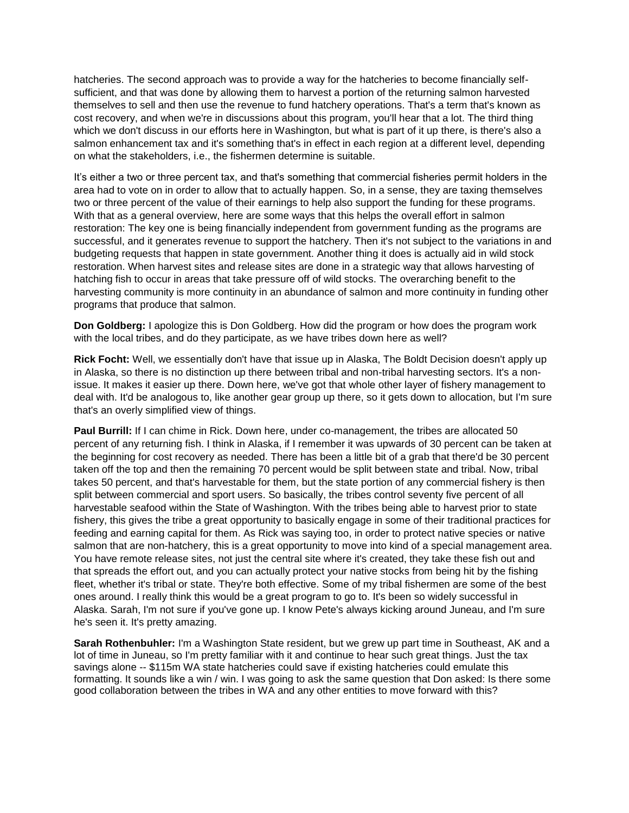hatcheries. The second approach was to provide a way for the hatcheries to become financially selfsufficient, and that was done by allowing them to harvest a portion of the returning salmon harvested themselves to sell and then use the revenue to fund hatchery operations. That's a term that's known as cost recovery, and when we're in discussions about this program, you'll hear that a lot. The third thing which we don't discuss in our efforts here in Washington, but what is part of it up there, is there's also a salmon enhancement tax and it's something that's in effect in each region at a different level, depending on what the stakeholders, i.e., the fishermen determine is suitable.

It's either a two or three percent tax, and that's something that commercial fisheries permit holders in the area had to vote on in order to allow that to actually happen. So, in a sense, they are taxing themselves two or three percent of the value of their earnings to help also support the funding for these programs. With that as a general overview, here are some ways that this helps the overall effort in salmon restoration: The key one is being financially independent from government funding as the programs are successful, and it generates revenue to support the hatchery. Then it's not subject to the variations in and budgeting requests that happen in state government. Another thing it does is actually aid in wild stock restoration. When harvest sites and release sites are done in a strategic way that allows harvesting of hatching fish to occur in areas that take pressure off of wild stocks. The overarching benefit to the harvesting community is more continuity in an abundance of salmon and more continuity in funding other programs that produce that salmon.

**Don Goldberg:** I apologize this is Don Goldberg. How did the program or how does the program work with the local tribes, and do they participate, as we have tribes down here as well?

**Rick Focht:** Well, we essentially don't have that issue up in Alaska, The Boldt Decision doesn't apply up in Alaska, so there is no distinction up there between tribal and non-tribal harvesting sectors. It's a nonissue. It makes it easier up there. Down here, we've got that whole other layer of fishery management to deal with. It'd be analogous to, like another gear group up there, so it gets down to allocation, but I'm sure that's an overly simplified view of things.

**Paul Burrill:** If I can chime in Rick. Down here, under co-management, the tribes are allocated 50 percent of any returning fish. I think in Alaska, if I remember it was upwards of 30 percent can be taken at the beginning for cost recovery as needed. There has been a little bit of a grab that there'd be 30 percent taken off the top and then the remaining 70 percent would be split between state and tribal. Now, tribal takes 50 percent, and that's harvestable for them, but the state portion of any commercial fishery is then split between commercial and sport users. So basically, the tribes control seventy five percent of all harvestable seafood within the State of Washington. With the tribes being able to harvest prior to state fishery, this gives the tribe a great opportunity to basically engage in some of their traditional practices for feeding and earning capital for them. As Rick was saying too, in order to protect native species or native salmon that are non-hatchery, this is a great opportunity to move into kind of a special management area. You have remote release sites, not just the central site where it's created, they take these fish out and that spreads the effort out, and you can actually protect your native stocks from being hit by the fishing fleet, whether it's tribal or state. They're both effective. Some of my tribal fishermen are some of the best ones around. I really think this would be a great program to go to. It's been so widely successful in Alaska. Sarah, I'm not sure if you've gone up. I know Pete's always kicking around Juneau, and I'm sure he's seen it. It's pretty amazing.

**Sarah Rothenbuhler:** I'm a Washington State resident, but we grew up part time in Southeast, AK and a lot of time in Juneau, so I'm pretty familiar with it and continue to hear such great things. Just the tax savings alone -- \$115m WA state hatcheries could save if existing hatcheries could emulate this formatting. It sounds like a win / win. I was going to ask the same question that Don asked: Is there some good collaboration between the tribes in WA and any other entities to move forward with this?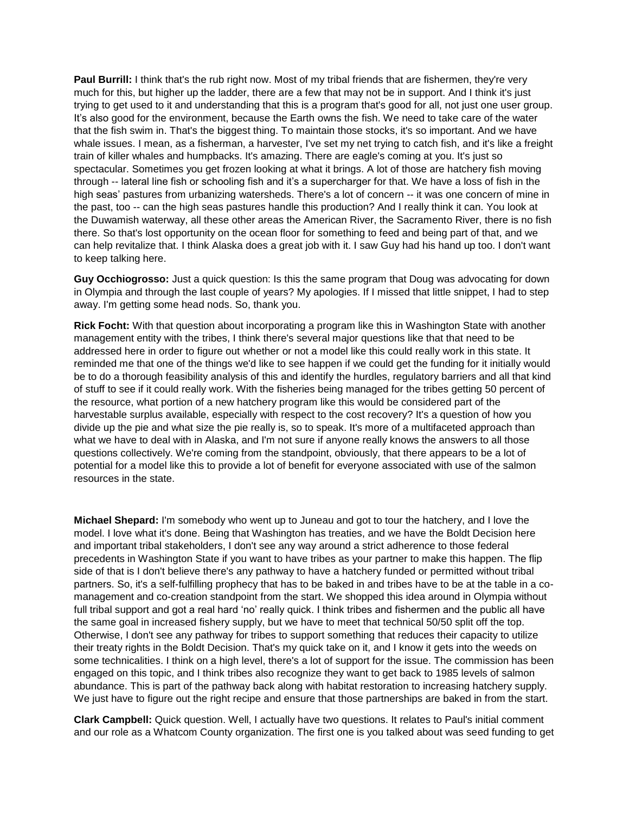Paul Burrill: I think that's the rub right now. Most of my tribal friends that are fishermen, they're very much for this, but higher up the ladder, there are a few that may not be in support. And I think it's just trying to get used to it and understanding that this is a program that's good for all, not just one user group. It's also good for the environment, because the Earth owns the fish. We need to take care of the water that the fish swim in. That's the biggest thing. To maintain those stocks, it's so important. And we have whale issues. I mean, as a fisherman, a harvester, I've set my net trying to catch fish, and it's like a freight train of killer whales and humpbacks. It's amazing. There are eagle's coming at you. It's just so spectacular. Sometimes you get frozen looking at what it brings. A lot of those are hatchery fish moving through -- lateral line fish or schooling fish and it's a supercharger for that. We have a loss of fish in the high seas' pastures from urbanizing watersheds. There's a lot of concern -- it was one concern of mine in the past, too -- can the high seas pastures handle this production? And I really think it can. You look at the Duwamish waterway, all these other areas the American River, the Sacramento River, there is no fish there. So that's lost opportunity on the ocean floor for something to feed and being part of that, and we can help revitalize that. I think Alaska does a great job with it. I saw Guy had his hand up too. I don't want to keep talking here.

**Guy Occhiogrosso:** Just a quick question: Is this the same program that Doug was advocating for down in Olympia and through the last couple of years? My apologies. If I missed that little snippet, I had to step away. I'm getting some head nods. So, thank you.

**Rick Focht:** With that question about incorporating a program like this in Washington State with another management entity with the tribes, I think there's several major questions like that that need to be addressed here in order to figure out whether or not a model like this could really work in this state. It reminded me that one of the things we'd like to see happen if we could get the funding for it initially would be to do a thorough feasibility analysis of this and identify the hurdles, regulatory barriers and all that kind of stuff to see if it could really work. With the fisheries being managed for the tribes getting 50 percent of the resource, what portion of a new hatchery program like this would be considered part of the harvestable surplus available, especially with respect to the cost recovery? It's a question of how you divide up the pie and what size the pie really is, so to speak. It's more of a multifaceted approach than what we have to deal with in Alaska, and I'm not sure if anyone really knows the answers to all those questions collectively. We're coming from the standpoint, obviously, that there appears to be a lot of potential for a model like this to provide a lot of benefit for everyone associated with use of the salmon resources in the state.

**Michael Shepard:** I'm somebody who went up to Juneau and got to tour the hatchery, and I love the model. I love what it's done. Being that Washington has treaties, and we have the Boldt Decision here and important tribal stakeholders, I don't see any way around a strict adherence to those federal precedents in Washington State if you want to have tribes as your partner to make this happen. The flip side of that is I don't believe there's any pathway to have a hatchery funded or permitted without tribal partners. So, it's a self-fulfilling prophecy that has to be baked in and tribes have to be at the table in a comanagement and co-creation standpoint from the start. We shopped this idea around in Olympia without full tribal support and got a real hard 'no' really quick. I think tribes and fishermen and the public all have the same goal in increased fishery supply, but we have to meet that technical 50/50 split off the top. Otherwise, I don't see any pathway for tribes to support something that reduces their capacity to utilize their treaty rights in the Boldt Decision. That's my quick take on it, and I know it gets into the weeds on some technicalities. I think on a high level, there's a lot of support for the issue. The commission has been engaged on this topic, and I think tribes also recognize they want to get back to 1985 levels of salmon abundance. This is part of the pathway back along with habitat restoration to increasing hatchery supply. We just have to figure out the right recipe and ensure that those partnerships are baked in from the start.

**Clark Campbell:** Quick question. Well, I actually have two questions. It relates to Paul's initial comment and our role as a Whatcom County organization. The first one is you talked about was seed funding to get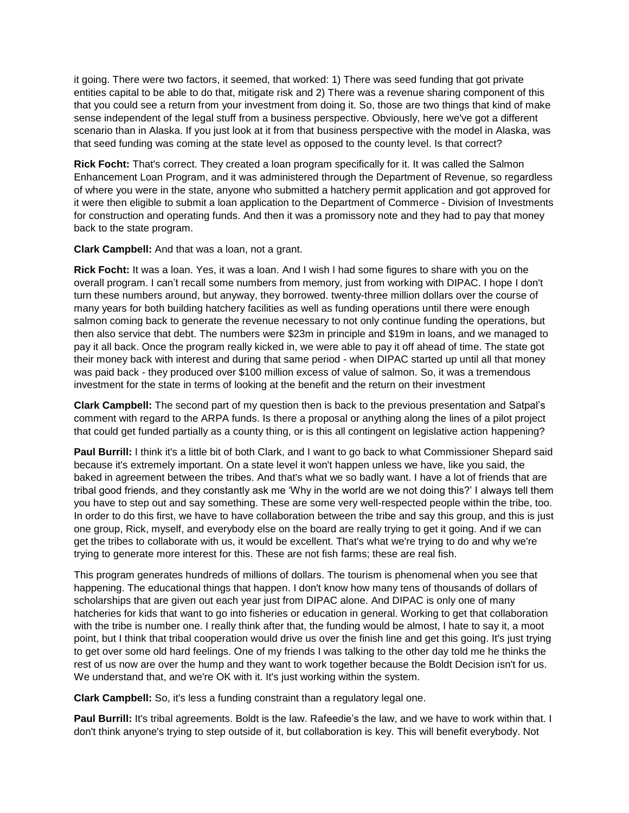it going. There were two factors, it seemed, that worked: 1) There was seed funding that got private entities capital to be able to do that, mitigate risk and 2) There was a revenue sharing component of this that you could see a return from your investment from doing it. So, those are two things that kind of make sense independent of the legal stuff from a business perspective. Obviously, here we've got a different scenario than in Alaska. If you just look at it from that business perspective with the model in Alaska, was that seed funding was coming at the state level as opposed to the county level. Is that correct?

**Rick Focht:** That's correct. They created a loan program specifically for it. It was called the Salmon Enhancement Loan Program, and it was administered through the Department of Revenue, so regardless of where you were in the state, anyone who submitted a hatchery permit application and got approved for it were then eligible to submit a loan application to the Department of Commerce - Division of Investments for construction and operating funds. And then it was a promissory note and they had to pay that money back to the state program.

**Clark Campbell:** And that was a loan, not a grant.

**Rick Focht:** It was a loan. Yes, it was a loan. And I wish I had some figures to share with you on the overall program. I can't recall some numbers from memory, just from working with DIPAC. I hope I don't turn these numbers around, but anyway, they borrowed. twenty-three million dollars over the course of many years for both building hatchery facilities as well as funding operations until there were enough salmon coming back to generate the revenue necessary to not only continue funding the operations, but then also service that debt. The numbers were \$23m in principle and \$19m in loans, and we managed to pay it all back. Once the program really kicked in, we were able to pay it off ahead of time. The state got their money back with interest and during that same period - when DIPAC started up until all that money was paid back - they produced over \$100 million excess of value of salmon. So, it was a tremendous investment for the state in terms of looking at the benefit and the return on their investment

**Clark Campbell:** The second part of my question then is back to the previous presentation and Satpal's comment with regard to the ARPA funds. Is there a proposal or anything along the lines of a pilot project that could get funded partially as a county thing, or is this all contingent on legislative action happening?

**Paul Burrill:** I think it's a little bit of both Clark, and I want to go back to what Commissioner Shepard said because it's extremely important. On a state level it won't happen unless we have, like you said, the baked in agreement between the tribes. And that's what we so badly want. I have a lot of friends that are tribal good friends, and they constantly ask me 'Why in the world are we not doing this?' I always tell them you have to step out and say something. These are some very well-respected people within the tribe, too. In order to do this first, we have to have collaboration between the tribe and say this group, and this is just one group, Rick, myself, and everybody else on the board are really trying to get it going. And if we can get the tribes to collaborate with us, it would be excellent. That's what we're trying to do and why we're trying to generate more interest for this. These are not fish farms; these are real fish.

This program generates hundreds of millions of dollars. The tourism is phenomenal when you see that happening. The educational things that happen. I don't know how many tens of thousands of dollars of scholarships that are given out each year just from DIPAC alone. And DIPAC is only one of many hatcheries for kids that want to go into fisheries or education in general. Working to get that collaboration with the tribe is number one. I really think after that, the funding would be almost, I hate to say it, a moot point, but I think that tribal cooperation would drive us over the finish line and get this going. It's just trying to get over some old hard feelings. One of my friends I was talking to the other day told me he thinks the rest of us now are over the hump and they want to work together because the Boldt Decision isn't for us. We understand that, and we're OK with it. It's just working within the system.

**Clark Campbell:** So, it's less a funding constraint than a regulatory legal one.

**Paul Burrill:** It's tribal agreements. Boldt is the law. Rafeedie's the law, and we have to work within that. I don't think anyone's trying to step outside of it, but collaboration is key. This will benefit everybody. Not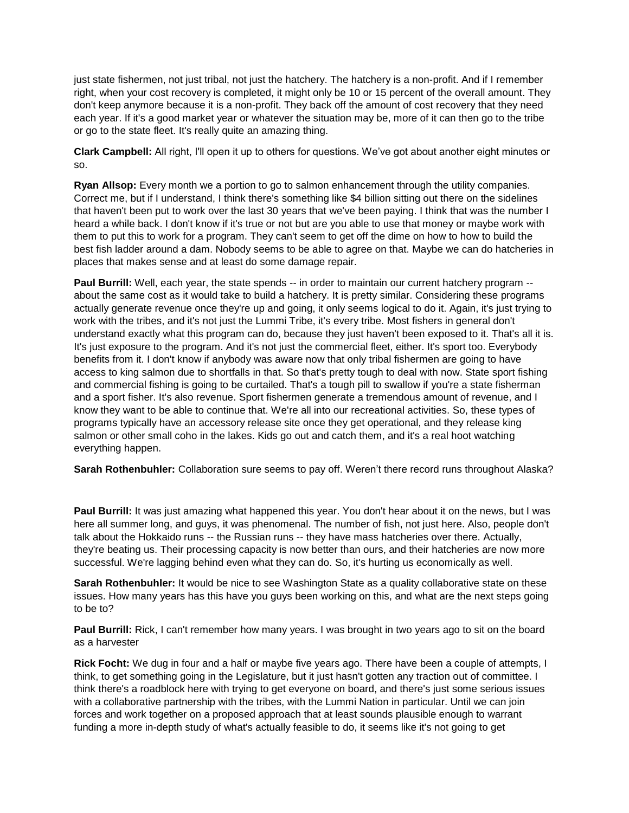just state fishermen, not just tribal, not just the hatchery. The hatchery is a non-profit. And if I remember right, when your cost recovery is completed, it might only be 10 or 15 percent of the overall amount. They don't keep anymore because it is a non-profit. They back off the amount of cost recovery that they need each year. If it's a good market year or whatever the situation may be, more of it can then go to the tribe or go to the state fleet. It's really quite an amazing thing.

**Clark Campbell:** All right, I'll open it up to others for questions. We've got about another eight minutes or so.

**Ryan Allsop:** Every month we a portion to go to salmon enhancement through the utility companies. Correct me, but if I understand, I think there's something like \$4 billion sitting out there on the sidelines that haven't been put to work over the last 30 years that we've been paying. I think that was the number I heard a while back. I don't know if it's true or not but are you able to use that money or maybe work with them to put this to work for a program. They can't seem to get off the dime on how to how to build the best fish ladder around a dam. Nobody seems to be able to agree on that. Maybe we can do hatcheries in places that makes sense and at least do some damage repair.

**Paul Burrill:** Well, each year, the state spends -- in order to maintain our current hatchery program - about the same cost as it would take to build a hatchery. It is pretty similar. Considering these programs actually generate revenue once they're up and going, it only seems logical to do it. Again, it's just trying to work with the tribes, and it's not just the Lummi Tribe, it's every tribe. Most fishers in general don't understand exactly what this program can do, because they just haven't been exposed to it. That's all it is. It's just exposure to the program. And it's not just the commercial fleet, either. It's sport too. Everybody benefits from it. I don't know if anybody was aware now that only tribal fishermen are going to have access to king salmon due to shortfalls in that. So that's pretty tough to deal with now. State sport fishing and commercial fishing is going to be curtailed. That's a tough pill to swallow if you're a state fisherman and a sport fisher. It's also revenue. Sport fishermen generate a tremendous amount of revenue, and I know they want to be able to continue that. We're all into our recreational activities. So, these types of programs typically have an accessory release site once they get operational, and they release king salmon or other small coho in the lakes. Kids go out and catch them, and it's a real hoot watching everything happen.

**Sarah Rothenbuhler:** Collaboration sure seems to pay off. Weren't there record runs throughout Alaska?

**Paul Burrill:** It was just amazing what happened this year. You don't hear about it on the news, but I was here all summer long, and guys, it was phenomenal. The number of fish, not just here. Also, people don't talk about the Hokkaido runs -- the Russian runs -- they have mass hatcheries over there. Actually, they're beating us. Their processing capacity is now better than ours, and their hatcheries are now more successful. We're lagging behind even what they can do. So, it's hurting us economically as well.

**Sarah Rothenbuhler:** It would be nice to see Washington State as a quality collaborative state on these issues. How many years has this have you guys been working on this, and what are the next steps going to be to?

**Paul Burrill:** Rick, I can't remember how many years. I was brought in two years ago to sit on the board as a harvester

**Rick Focht:** We dug in four and a half or maybe five years ago. There have been a couple of attempts, I think, to get something going in the Legislature, but it just hasn't gotten any traction out of committee. I think there's a roadblock here with trying to get everyone on board, and there's just some serious issues with a collaborative partnership with the tribes, with the Lummi Nation in particular. Until we can join forces and work together on a proposed approach that at least sounds plausible enough to warrant funding a more in-depth study of what's actually feasible to do, it seems like it's not going to get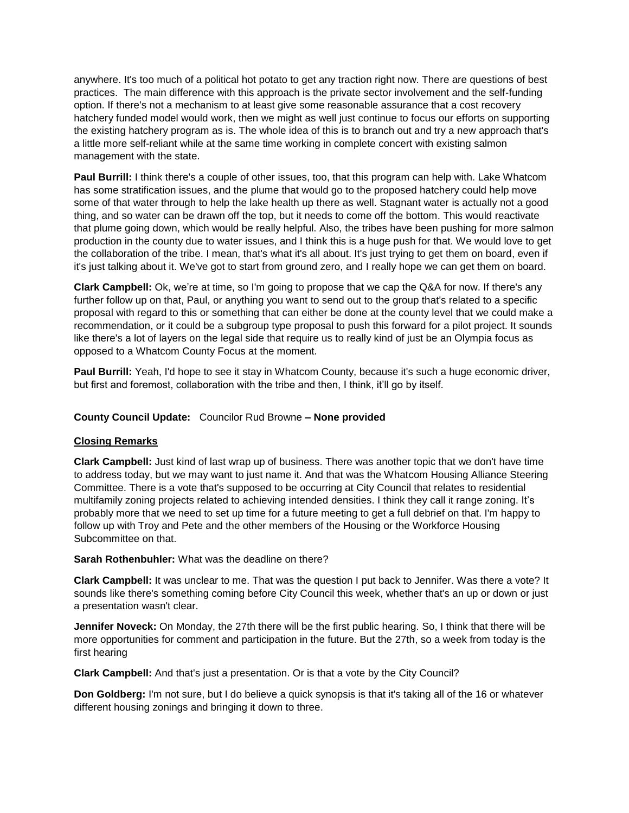anywhere. It's too much of a political hot potato to get any traction right now. There are questions of best practices. The main difference with this approach is the private sector involvement and the self-funding option. If there's not a mechanism to at least give some reasonable assurance that a cost recovery hatchery funded model would work, then we might as well just continue to focus our efforts on supporting the existing hatchery program as is. The whole idea of this is to branch out and try a new approach that's a little more self-reliant while at the same time working in complete concert with existing salmon management with the state.

**Paul Burrill:** I think there's a couple of other issues, too, that this program can help with. Lake Whatcom has some stratification issues, and the plume that would go to the proposed hatchery could help move some of that water through to help the lake health up there as well. Stagnant water is actually not a good thing, and so water can be drawn off the top, but it needs to come off the bottom. This would reactivate that plume going down, which would be really helpful. Also, the tribes have been pushing for more salmon production in the county due to water issues, and I think this is a huge push for that. We would love to get the collaboration of the tribe. I mean, that's what it's all about. It's just trying to get them on board, even if it's just talking about it. We've got to start from ground zero, and I really hope we can get them on board.

**Clark Campbell:** Ok, we're at time, so I'm going to propose that we cap the Q&A for now. If there's any further follow up on that, Paul, or anything you want to send out to the group that's related to a specific proposal with regard to this or something that can either be done at the county level that we could make a recommendation, or it could be a subgroup type proposal to push this forward for a pilot project. It sounds like there's a lot of layers on the legal side that require us to really kind of just be an Olympia focus as opposed to a Whatcom County Focus at the moment.

Paul Burrill: Yeah, I'd hope to see it stay in Whatcom County, because it's such a huge economic driver, but first and foremost, collaboration with the tribe and then, I think, it'll go by itself.

# **County Council Update:** Councilor Rud Browne **– None provided**

## **Closing Remarks**

**Clark Campbell:** Just kind of last wrap up of business. There was another topic that we don't have time to address today, but we may want to just name it. And that was the Whatcom Housing Alliance Steering Committee. There is a vote that's supposed to be occurring at City Council that relates to residential multifamily zoning projects related to achieving intended densities. I think they call it range zoning. It's probably more that we need to set up time for a future meeting to get a full debrief on that. I'm happy to follow up with Troy and Pete and the other members of the Housing or the Workforce Housing Subcommittee on that.

**Sarah Rothenbuhler:** What was the deadline on there?

**Clark Campbell:** It was unclear to me. That was the question I put back to Jennifer. Was there a vote? It sounds like there's something coming before City Council this week, whether that's an up or down or just a presentation wasn't clear.

**Jennifer Noveck:** On Monday, the 27th there will be the first public hearing. So, I think that there will be more opportunities for comment and participation in the future. But the 27th, so a week from today is the first hearing

**Clark Campbell:** And that's just a presentation. Or is that a vote by the City Council?

**Don Goldberg:** I'm not sure, but I do believe a quick synopsis is that it's taking all of the 16 or whatever different housing zonings and bringing it down to three.